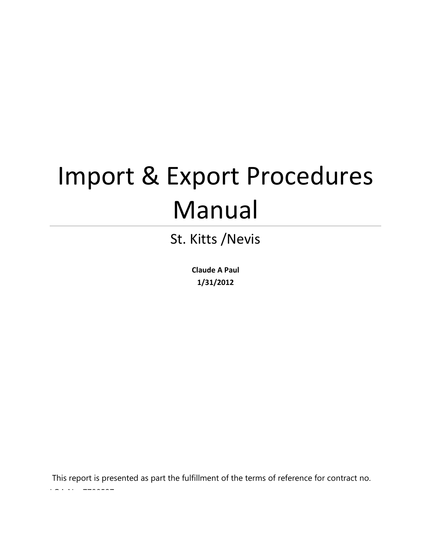# Import & Export Procedures Manual

St. Kitts /Nevis

**Claude A Paul 1/31/2012**

This report is presented as part the fulfillment of the terms of reference for contract no. Loan (1979)<br>2790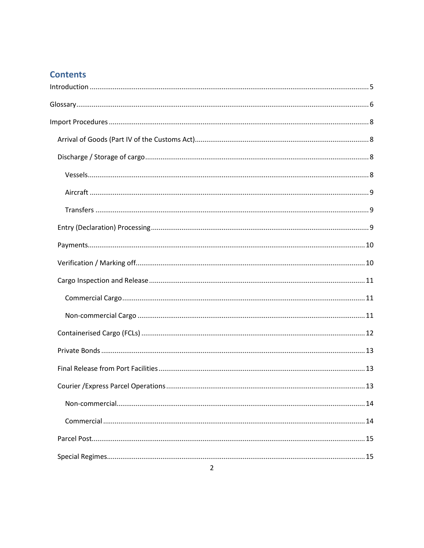# **Contents**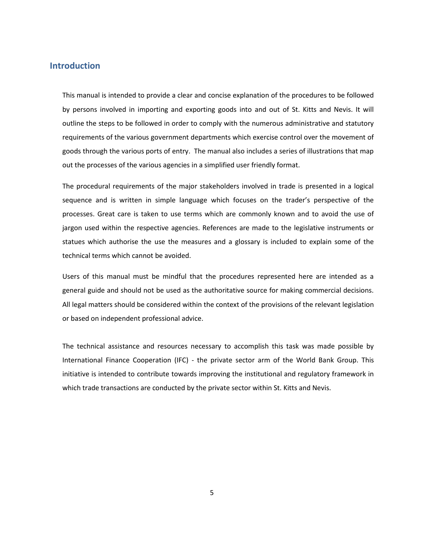## <span id="page-4-0"></span>**Introduction**

This manual is intended to provide a clear and concise explanation of the procedures to be followed by persons involved in importing and exporting goods into and out of St. Kitts and Nevis. It will outline the steps to be followed in order to comply with the numerous administrative and statutory requirements of the various government departments which exercise control over the movement of goods through the various ports of entry. The manual also includes a series of illustrations that map out the processes of the various agencies in a simplified user friendly format.

The procedural requirements of the major stakeholders involved in trade is presented in a logical sequence and is written in simple language which focuses on the trader's perspective of the processes. Great care is taken to use terms which are commonly known and to avoid the use of jargon used within the respective agencies. References are made to the legislative instruments or statues which authorise the use the measures and a glossary is included to explain some of the technical terms which cannot be avoided.

Users of this manual must be mindful that the procedures represented here are intended as a general guide and should not be used as the authoritative source for making commercial decisions. All legal matters should be considered within the context of the provisions of the relevant legislation or based on independent professional advice.

The technical assistance and resources necessary to accomplish this task was made possible by International Finance Cooperation (IFC) - the private sector arm of the World Bank Group. This initiative is intended to contribute towards improving the institutional and regulatory framework in which trade transactions are conducted by the private sector within St. Kitts and Nevis.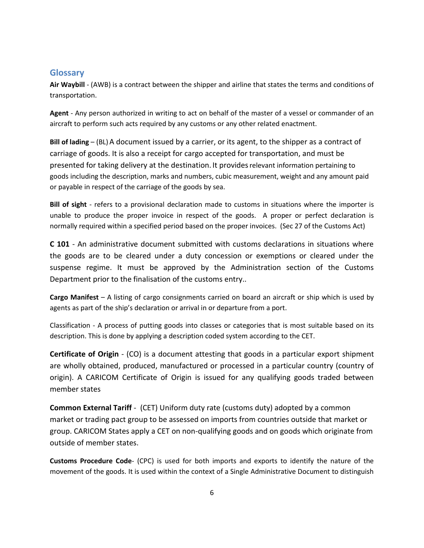# <span id="page-5-0"></span>**Glossary**

**Air Waybill** - (AWB) is a contract between the shipper and airline that states the terms and conditions of transportation.

**Agent** - Any person authorized in writing to act on behalf of the master of a vessel or commander of an aircraft to perform such acts required by any customs or any other related enactment.

**Bill of lading** – (BL)[A document](http://www.businessdictionary.com/definition/document.html) issued by a [carrier,](http://www.businessdictionary.com/definition/carrier.html) or it[s agent,](http://www.businessdictionary.com/definition/agent.html) to the [shipper](http://www.businessdictionary.com/definition/shipper.html) as a [contract of](http://www.businessdictionary.com/definition/contract-of-carriage.html)  [carriage](http://www.businessdictionary.com/definition/contract-of-carriage.html) o[f goods.](http://www.businessdictionary.com/definition/goods.html) It is also a [receipt](http://www.businessdictionary.com/definition/receipt.html) for [cargo](http://www.businessdictionary.com/definition/cargo.html) accepted for [transportation,](http://www.businessdictionary.com/definition/transportation.html) and must be presented for taking [delivery](http://www.businessdictionary.com/definition/delivery.html) at the destination. It providesrelevant information pertaining to goods including the description, marks and numbers, cubic measurement, weight and any amount paid or payable in respect of the carriage of the goods by sea.

**Bill of sight** - refers to a provisional declaration made to customs in situations where the importer is unable to produce the proper invoice in respect of the goods. A proper or perfect declaration is normally required within a specified period based on the proper invoices. (Sec 27 of the Customs Act)

**C 101** - An administrative document submitted with customs declarations in situations where the goods are to be cleared under a duty concession or exemptions or cleared under the suspense regime. It must be approved by the Administration section of the Customs Department prior to the finalisation of the customs entry..

**Cargo Manifest** – A listing of cargo consignments carried on board an aircraft or ship which is used by agents as part of the ship's declaration or arrival in or departure from a port.

Classification - A process of putting goods into classes or categories that is most suitable based on its description. This is done by applying a description coded system according to the CET.

**Certificate of Origin** - (CO) is a document attesting that goods in a particular export shipment are wholly obtained, produced, manufactured or processed in a particular country (country of origin). A CARICOM Certificate of Origin is issued for any qualifying goods traded between member states

**Common External Tariff** - (CET) [Uniform](http://www.businessdictionary.com/definition/uniform.html) [duty](http://www.businessdictionary.com/definition/duty.html) [rate](http://www.businessdictionary.com/definition/rate.html) [\(customs duty\)](http://www.businessdictionary.com/definition/customs-duty.html) adopted by a [common](http://www.businessdictionary.com/definition/common-market.html)  [market](http://www.businessdictionary.com/definition/common-market.html) or [trading](http://www.businessdictionary.com/definition/trader.html) pact [group](http://www.businessdictionary.com/definition/group.html) to be assessed on [imports](http://www.businessdictionary.com/definition/imports.html) from [countries](http://www.businessdictionary.com/definition/country.html) outside that [market](http://www.businessdictionary.com/definition/market.html) or group. CARICOM States apply a CET on non-qualifying goods and on goods which originate from outside of member states.

**Customs Procedure Code**- (CPC) is used for both imports and exports to identify the nature of the movement of the goods. It is used within the context of a Single Administrative Document to distinguish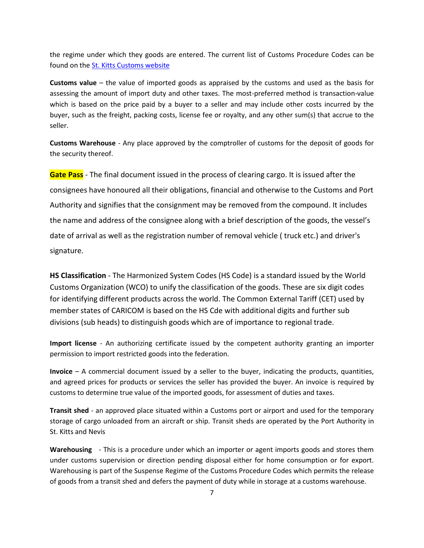the regime under which they goods are entered. The current list of Customs Procedure Codes can be found on th[e St. Kitts Customs website](http://www.skncustoms.com/pdfs/Customs_Procedure_Codes_CPC_List_NEW.pdf) 

**Customs value** – the value of imported goods as appraised by the customs and used as the basis for assessing the amount of import duty and other taxes. The most-preferred method is transaction-value which is based on the price paid by a buyer to a seller and may include other costs incurred by the buyer, such as the freight, packing costs, license fee or royalty, and any other sum(s) that accrue to the seller.

**Customs Warehouse** - Any place approved by the comptroller of customs for the deposit of goods for the security thereof.

**Gate Pass** - The final document issued in the process of clearing cargo. It is issued after the consignees have honoured all their obligations, financial and otherwise to the Customs and Port Authority and signifies that the consignment may be removed from the compound. It includes the name and address of the consignee along with a brief description of the goods, the vessel's date of arrival as well as the registration number of removal vehicle ( truck etc.) and driver's signature.

**HS Classification** - The Harmonized System Codes (HS Code) is a standard issued by the World Customs Organization (WCO) to unify the classification of the goods. These are six digit codes for identifying different products across the world. The Common External Tariff (CET) used by member states of CARICOM is based on the HS Cde with additional digits and further sub divisions (sub heads) to distinguish goods which are of importance to regional trade.

**Import license** - An authorizing certificate issued by the competent authority granting an importer permission to import restricted goods into the federation.

**Invoice** – A commercial document issued by a seller to the buyer, indicating the products, quantities, and agreed prices for products or services the seller has provided the buyer. An invoice is required by customs to determine true value of the imported goods, for assessment of duties and taxes.

**Transit shed** - an approved place situated within a Customs port or airport and used for the temporary storage of cargo unloaded from an aircraft or ship. Transit sheds are operated by the Port Authority in St. Kitts and Nevis

**Warehousing** - This is a procedure under which an importer or agent imports goods and stores them under customs supervision or direction pending disposal either for home consumption or for export. Warehousing is part of the Suspense Regime of the Customs Procedure Codes which permits the release of goods from a transit shed and defers the payment of duty while in storage at a customs warehouse.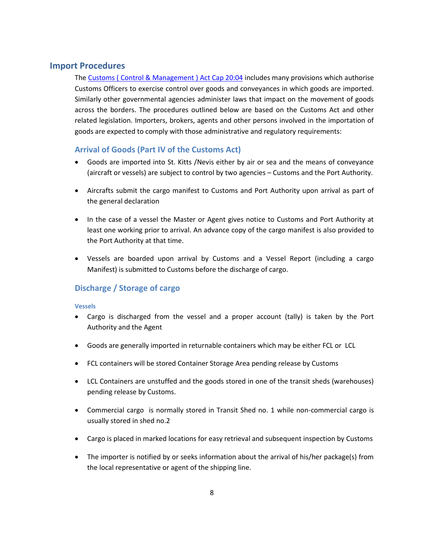# <span id="page-7-0"></span>**Import Procedures**

The [Customs \( Control & Management \) Act Cap 20:04](http://www.skncustoms.com/customs_legislation.aspx) includes many provisions which authorise Customs Officers to exercise control over goods and conveyances in which goods are imported. Similarly other governmental agencies administer laws that impact on the movement of goods across the borders. The procedures outlined below are based on the Customs Act and other related legislation. Importers, brokers, agents and other persons involved in the importation of goods are expected to comply with those administrative and regulatory requirements:

## <span id="page-7-1"></span>**Arrival of Goods (Part IV of the Customs Act)**

- Goods are imported into St. Kitts /Nevis either by air or sea and the means of conveyance (aircraft or vessels) are subject to control by two agencies – Customs and the Port Authority.
- Aircrafts submit the cargo manifest to Customs and Port Authority upon arrival as part of the general declaration
- In the case of a vessel the Master or Agent gives notice to Customs and Port Authority at least one working prior to arrival. An advance copy of the cargo manifest is also provided to the Port Authority at that time.
- Vessels are boarded upon arrival by Customs and a Vessel Report (including a cargo Manifest) is submitted to Customs before the discharge of cargo.

# <span id="page-7-2"></span>**Discharge / Storage of cargo**

## <span id="page-7-3"></span>**Vessels**

- Cargo is discharged from the vessel and a proper account (tally) is taken by the Port Authority and the Agent
- Goods are generally imported in returnable containers which may be either FCL or LCL
- FCL containers will be stored Container Storage Area pending release by Customs
- LCL Containers are unstuffed and the goods stored in one of the transit sheds (warehouses) pending release by Customs.
- Commercial cargo is normally stored in Transit Shed no. 1 while non-commercial cargo is usually stored in shed no.2
- Cargo is placed in marked locations for easy retrieval and subsequent inspection by Customs
- The importer is notified by or seeks information about the arrival of his/her package(s) from the local representative or agent of the shipping line.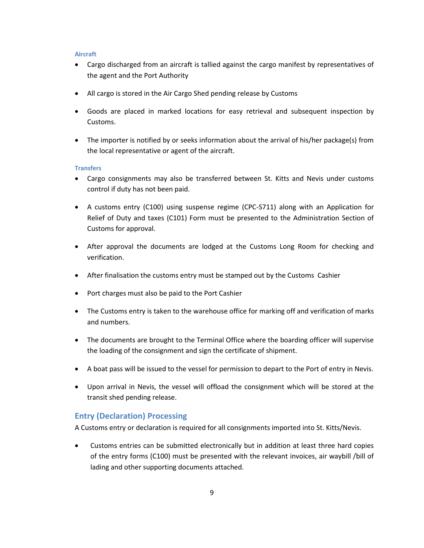#### <span id="page-8-0"></span>**Aircraft**

- Cargo discharged from an aircraft is tallied against the cargo manifest by representatives of the agent and the Port Authority
- All cargo is stored in the Air Cargo Shed pending release by Customs
- Goods are placed in marked locations for easy retrieval and subsequent inspection by Customs.
- The importer is notified by or seeks information about the arrival of his/her package(s) from the local representative or agent of the aircraft.

#### <span id="page-8-1"></span>**Transfers**

- Cargo consignments may also be transferred between St. Kitts and Nevis under customs control if duty has not been paid.
- A customs entry (C100) using suspense regime (CPC-S711) along with an Application for Relief of Duty and taxes (C101) Form must be presented to the Administration Section of Customs for approval.
- After approval the documents are lodged at the Customs Long Room for checking and verification.
- After finalisation the customs entry must be stamped out by the Customs Cashier
- Port charges must also be paid to the Port Cashier
- The Customs entry is taken to the warehouse office for marking off and verification of marks and numbers.
- The documents are brought to the Terminal Office where the boarding officer will supervise the loading of the consignment and sign the certificate of shipment.
- A boat pass will be issued to the vessel for permission to depart to the Port of entry in Nevis.
- Upon arrival in Nevis, the vessel will offload the consignment which will be stored at the transit shed pending release.

## <span id="page-8-2"></span>**Entry (Declaration) Processing**

A Customs entry or declaration is required for all consignments imported into St. Kitts/Nevis.

 Customs entries can be submitted electronically but in addition at least three hard copies of the entry forms (C100) must be presented with the relevant invoices, air waybill /bill of lading and other supporting documents attached.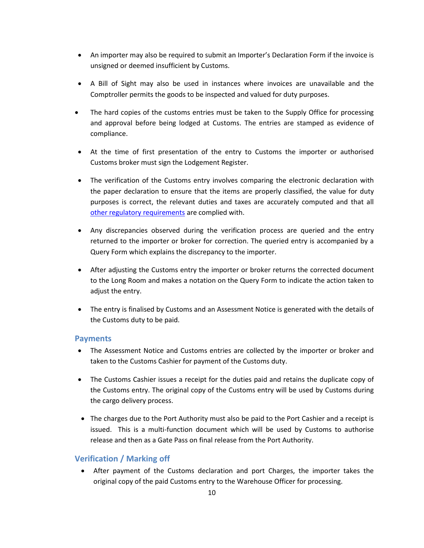- An importer may also be required to submit an Importer's Declaration Form if the invoice is unsigned or deemed insufficient by Customs.
- A Bill of Sight may also be used in instances where invoices are unavailable and the Comptroller permits the goods to be inspected and valued for duty purposes.
- The hard copies of the customs entries must be taken to the Supply Office for processing and approval before being lodged at Customs. The entries are stamped as evidence of compliance.
- At the time of first presentation of the entry to Customs the importer or authorised Customs broker must sign the Lodgement Register.
- The verification of the Customs entry involves comparing the electronic declaration with the paper declaration to ensure that the items are properly classified, the value for duty purposes is correct, the relevant duties and taxes are accurately computed and that all [other regulatory requirements](#page-21-1) are complied with.
- Any discrepancies observed during the verification process are queried and the entry returned to the importer or broker for correction. The queried entry is accompanied by a Query Form which explains the discrepancy to the importer.
- After adjusting the Customs entry the importer or broker returns the corrected document to the Long Room and makes a notation on the Query Form to indicate the action taken to adjust the entry.
- The entry is finalised by Customs and an Assessment Notice is generated with the details of the Customs duty to be paid.

## <span id="page-9-0"></span>**Payments**

- The Assessment Notice and Customs entries are collected by the importer or broker and taken to the Customs Cashier for payment of the Customs duty.
- The Customs Cashier issues a receipt for the duties paid and retains the duplicate copy of the Customs entry. The original copy of the Customs entry will be used by Customs during the cargo delivery process.
- The charges due to the Port Authority must also be paid to the Port Cashier and a receipt is issued. This is a multi-function document which will be used by Customs to authorise release and then as a Gate Pass on final release from the Port Authority.

# <span id="page-9-1"></span>**Verification / Marking off**

 After payment of the Customs declaration and port Charges, the importer takes the original copy of the paid Customs entry to the Warehouse Officer for processing.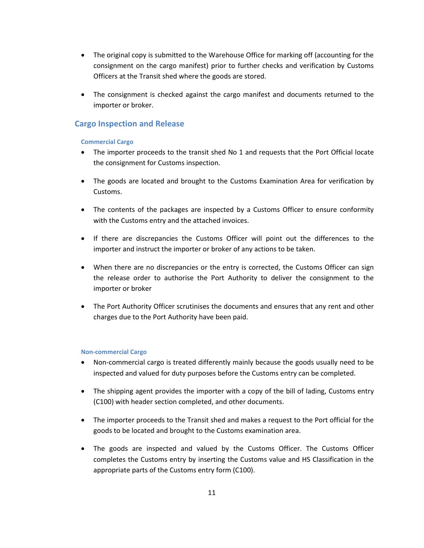- The original copy is submitted to the Warehouse Office for marking off (accounting for the consignment on the cargo manifest) prior to further checks and verification by Customs Officers at the Transit shed where the goods are stored.
- The consignment is checked against the cargo manifest and documents returned to the importer or broker.

## <span id="page-10-1"></span><span id="page-10-0"></span>**Cargo Inspection and Release**

## **Commercial Cargo**

- The importer proceeds to the transit shed No 1 and requests that the Port Official locate the consignment for Customs inspection.
- The goods are located and brought to the Customs Examination Area for verification by Customs.
- The contents of the packages are inspected by a Customs Officer to ensure conformity with the Customs entry and the attached invoices.
- If there are discrepancies the Customs Officer will point out the differences to the importer and instruct the importer or broker of any actions to be taken.
- When there are no discrepancies or the entry is corrected, the Customs Officer can sign the release order to authorise the Port Authority to deliver the consignment to the importer or broker
- The Port Authority Officer scrutinises the documents and ensures that any rent and other charges due to the Port Authority have been paid.

#### <span id="page-10-2"></span>**Non-commercial Cargo**

- Non-commercial cargo is treated differently mainly because the goods usually need to be inspected and valued for duty purposes before the Customs entry can be completed.
- The shipping agent provides the importer with a copy of the bill of lading, Customs entry (C100) with header section completed, and other documents.
- The importer proceeds to the Transit shed and makes a request to the Port official for the goods to be located and brought to the Customs examination area.
- The goods are inspected and valued by the Customs Officer. The Customs Officer completes the Customs entry by inserting the Customs value and HS Classification in the appropriate parts of the Customs entry form (C100).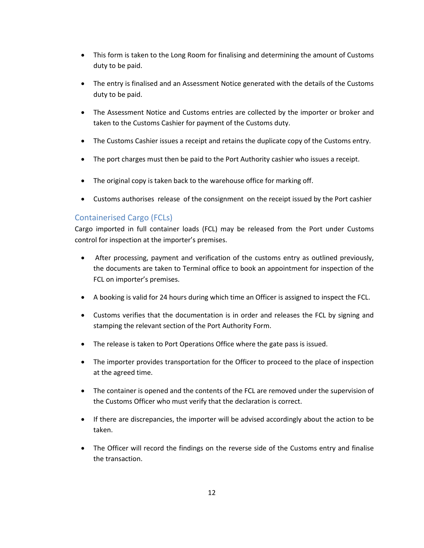- This form is taken to the Long Room for finalising and determining the amount of Customs duty to be paid.
- The entry is finalised and an Assessment Notice generated with the details of the Customs duty to be paid.
- The Assessment Notice and Customs entries are collected by the importer or broker and taken to the Customs Cashier for payment of the Customs duty.
- The Customs Cashier issues a receipt and retains the duplicate copy of the Customs entry.
- The port charges must then be paid to the Port Authority cashier who issues a receipt.
- The original copy is taken back to the warehouse office for marking off.
- Customs authorises release of the consignment on the receipt issued by the Port cashier

# <span id="page-11-0"></span>Containerised Cargo (FCLs)

Cargo imported in full container loads (FCL) may be released from the Port under Customs control for inspection at the importer's premises.

- After processing, payment and verification of the customs entry as outlined previously, the documents are taken to Terminal office to book an appointment for inspection of the FCL on importer's premises.
- A booking is valid for 24 hours during which time an Officer is assigned to inspect the FCL.
- Customs verifies that the documentation is in order and releases the FCL by signing and stamping the relevant section of the Port Authority Form.
- The release is taken to Port Operations Office where the gate pass is issued.
- The importer provides transportation for the Officer to proceed to the place of inspection at the agreed time.
- The container is opened and the contents of the FCL are removed under the supervision of the Customs Officer who must verify that the declaration is correct.
- If there are discrepancies, the importer will be advised accordingly about the action to be taken.
- The Officer will record the findings on the reverse side of the Customs entry and finalise the transaction.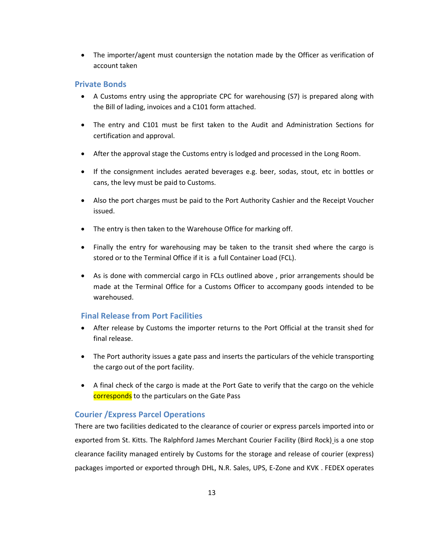• The importer/agent must countersign the notation made by the Officer as verification of account taken

## <span id="page-12-0"></span>**Private Bonds**

- A Customs entry using the appropriate CPC for warehousing (S7) is prepared along with the Bill of lading, invoices and a C101 form attached.
- The entry and C101 must be first taken to the Audit and Administration Sections for certification and approval.
- After the approval stage the Customs entry is lodged and processed in the Long Room.
- If the consignment includes aerated beverages e.g. beer, sodas, stout, etc in bottles or cans, the levy must be paid to Customs.
- Also the port charges must be paid to the Port Authority Cashier and the Receipt Voucher issued.
- The entry is then taken to the Warehouse Office for marking off.
- Finally the entry for warehousing may be taken to the transit shed where the cargo is stored or to the Terminal Office if it is a full Container Load (FCL).
- As is done with commercial cargo in FCLs outlined above , prior arrangements should be made at the Terminal Office for a Customs Officer to accompany goods intended to be warehoused.

## <span id="page-12-1"></span>**Final Release from Port Facilities**

- After release by Customs the importer returns to the Port Official at the transit shed for final release.
- The Port authority issues a gate pass and inserts the particulars of the vehicle transporting the cargo out of the port facility.
- A final check of the cargo is made at the Port Gate to verify that the cargo on the vehicle corresponds to the particulars on the Gate Pass

## <span id="page-12-2"></span>**Courier /Express Parcel Operations**

There are two facilities dedicated to the clearance of courier or express parcels imported into or exported from St. Kitts. The Ralphford James Merchant Courier Facility (Bird Rock) is a one stop clearance facility managed entirely by Customs for the storage and release of courier (express) packages imported or exported through DHL, N.R. Sales, UPS, E-Zone and KVK . FEDEX operates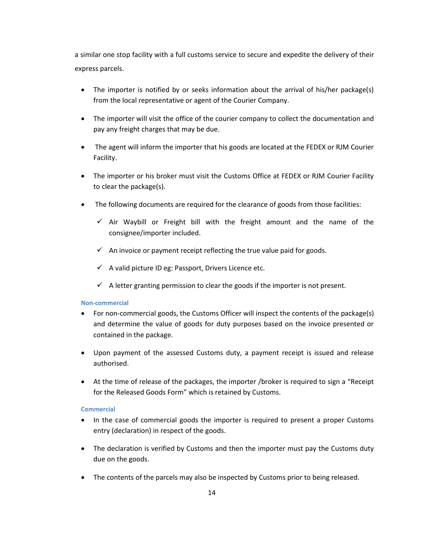a similar one stop facility with a full customs service to secure and expedite the delivery of their express parcels.

- The importer is notified by or seeks information about the arrival of his/her package(s) from the local representative or agent of the Courier Company.
- The importer will visit the office of the courier company to collect the documentation and pay any freight charges that may be due.
- The agent will inform the importer that his goods are located at the FEDEX or RJM Courier Facility.
- The importer or his broker must visit the Customs Office at FEDEX or RJM Courier Facility to clear the package(s).
- The following documents are required for the clearance of goods from those facilities:
	- $\checkmark$  Air Waybill or Freight bill with the freight amount and the name of the consignee/importer included.
	- $\checkmark$  An invoice or payment receipt reflecting the true value paid for goods.
	- $\checkmark$  A valid picture ID eg: Passport, Drivers Licence etc.
	- $\checkmark$  A letter granting permission to clear the goods if the importer is not present.

#### <span id="page-13-0"></span>**Non-commercial**

- For non-commercial goods, the Customs Officer will inspect the contents of the package(s) and determine the value of goods for duty purposes based on the invoice presented or contained in the package.
- Upon payment of the assessed Customs duty, a payment receipt is issued and release authorised.
- At the time of release of the packages, the importer /broker is required to sign a "Receipt for the Released Goods Form" which is retained by Customs.

#### <span id="page-13-1"></span>**Commercial**

- In the case of commercial goods the importer is required to present a proper Customs entry (declaration) in respect of the goods.
- The declaration is verified by Customs and then the importer must pay the Customs duty due on the goods.
- The contents of the parcels may also be inspected by Customs prior to being released.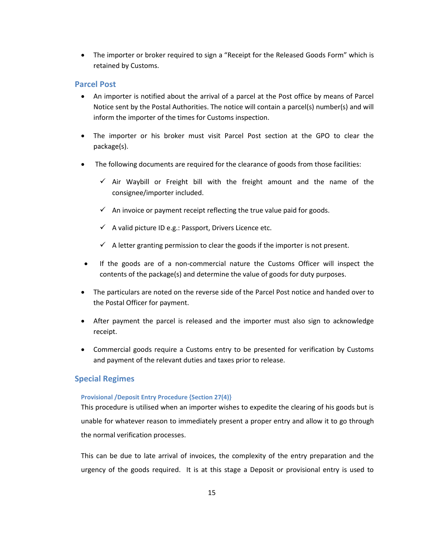The importer or broker required to sign a "Receipt for the Released Goods Form" which is retained by Customs.

## <span id="page-14-0"></span>**Parcel Post**

- An importer is notified about the arrival of a parcel at the Post office by means of Parcel Notice sent by the Postal Authorities. The notice will contain a parcel(s) number(s) and will inform the importer of the times for Customs inspection.
- The importer or his broker must visit Parcel Post section at the GPO to clear the package(s).
- The following documents are required for the clearance of goods from those facilities:
	- $\checkmark$  Air Waybill or Freight bill with the freight amount and the name of the consignee/importer included.
	- $\checkmark$  An invoice or payment receipt reflecting the true value paid for goods.
	- $\checkmark$  A valid picture ID e.g.: Passport, Drivers Licence etc.
	- $\checkmark$  A letter granting permission to clear the goods if the importer is not present.
- If the goods are of a non-commercial nature the Customs Officer will inspect the contents of the package(s) and determine the value of goods for duty purposes.
- The particulars are noted on the reverse side of the Parcel Post notice and handed over to the Postal Officer for payment.
- After payment the parcel is released and the importer must also sign to acknowledge receipt.
- Commercial goods require a Customs entry to be presented for verification by Customs and payment of the relevant duties and taxes prior to release.

## <span id="page-14-2"></span><span id="page-14-1"></span>**Special Regimes**

## **Provisional /Deposit Entry Procedure {Section 27(4)}**

This procedure is utilised when an importer wishes to expedite the clearing of his goods but is unable for whatever reason to immediately present a proper entry and allow it to go through the normal verification processes.

This can be due to late arrival of invoices, the complexity of the entry preparation and the urgency of the goods required. It is at this stage a Deposit or provisional entry is used to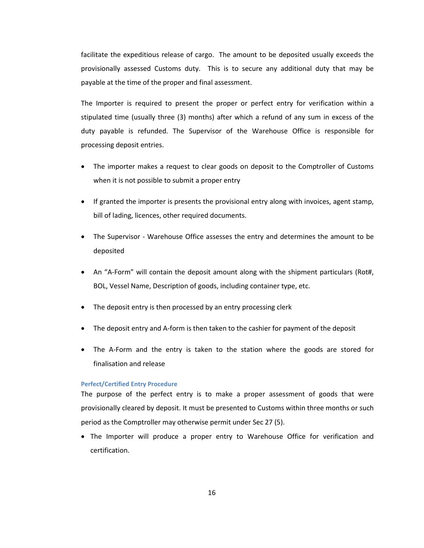facilitate the expeditious release of cargo. The amount to be deposited usually exceeds the provisionally assessed Customs duty. This is to secure any additional duty that may be payable at the time of the proper and final assessment.

The Importer is required to present the proper or perfect entry for verification within a stipulated time (usually three (3) months) after which a refund of any sum in excess of the duty payable is refunded. The Supervisor of the Warehouse Office is responsible for processing deposit entries.

- The importer makes a request to clear goods on deposit to the Comptroller of Customs when it is not possible to submit a proper entry
- If granted the importer is presents the provisional entry along with invoices, agent stamp, bill of lading, licences, other required documents.
- The Supervisor Warehouse Office assesses the entry and determines the amount to be deposited
- An "A-Form" will contain the deposit amount along with the shipment particulars (Rot#, BOL, Vessel Name, Description of goods, including container type, etc.
- The deposit entry is then processed by an entry processing clerk
- The deposit entry and A-form is then taken to the cashier for payment of the deposit
- The A-Form and the entry is taken to the station where the goods are stored for finalisation and release

### <span id="page-15-0"></span>**Perfect/Certified Entry Procedure**

The purpose of the perfect entry is to make a proper assessment of goods that were provisionally cleared by deposit. It must be presented to Customs within three months or such period as the Comptroller may otherwise permit under Sec 27 (5).

• The Importer will produce a proper entry to Warehouse Office for verification and certification.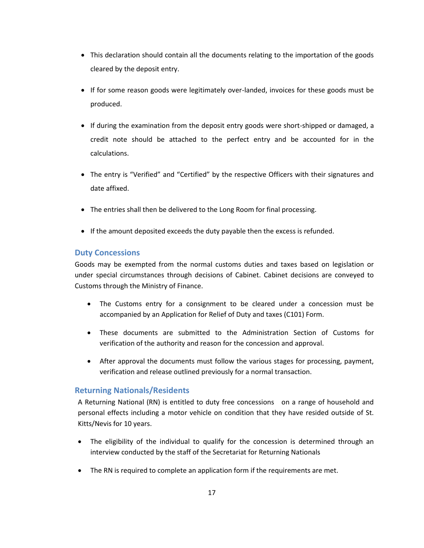- This declaration should contain all the documents relating to the importation of the goods cleared by the deposit entry.
- If for some reason goods were legitimately over-landed, invoices for these goods must be produced.
- If during the examination from the deposit entry goods were short-shipped or damaged, a credit note should be attached to the perfect entry and be accounted for in the calculations.
- The entry is "Verified" and "Certified" by the respective Officers with their signatures and date affixed.
- The entries shall then be delivered to the Long Room for final processing.
- If the amount deposited exceeds the duty payable then the excess is refunded.

## <span id="page-16-0"></span>**Duty Concessions**

Goods may be exempted from the normal customs duties and taxes based on legislation or under special circumstances through decisions of Cabinet. Cabinet decisions are conveyed to Customs through the Ministry of Finance.

- The Customs entry for a consignment to be cleared under a concession must be accompanied by an Application for Relief of Duty and taxes (C101) Form.
- These documents are submitted to the Administration Section of Customs for verification of the authority and reason for the concession and approval.
- After approval the documents must follow the various stages for processing, payment, verification and release outlined previously for a normal transaction.

# <span id="page-16-1"></span>**Returning Nationals/Residents**

A Returning National (RN) is entitled to duty free concessions on a range of household and personal effects including a motor vehicle on condition that they have resided outside of St. Kitts/Nevis for 10 years.

- The eligibility of the individual to qualify for the concession is determined through an interview conducted by the staff of the Secretariat for Returning Nationals
- The RN is required to complete an application form if the requirements are met.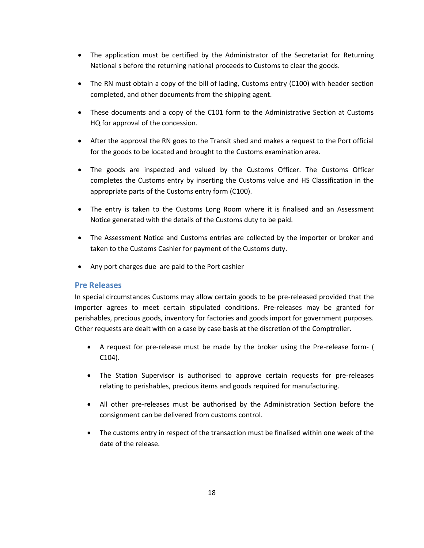- The application must be certified by the Administrator of the Secretariat for Returning National s before the returning national proceeds to Customs to clear the goods.
- The RN must obtain a copy of the bill of lading, Customs entry (C100) with header section completed, and other documents from the shipping agent.
- These documents and a copy of the C101 form to the Administrative Section at Customs HQ for approval of the concession.
- After the approval the RN goes to the Transit shed and makes a request to the Port official for the goods to be located and brought to the Customs examination area.
- The goods are inspected and valued by the Customs Officer. The Customs Officer completes the Customs entry by inserting the Customs value and HS Classification in the appropriate parts of the Customs entry form (C100).
- The entry is taken to the Customs Long Room where it is finalised and an Assessment Notice generated with the details of the Customs duty to be paid.
- The Assessment Notice and Customs entries are collected by the importer or broker and taken to the Customs Cashier for payment of the Customs duty.
- Any port charges due are paid to the Port cashier

## <span id="page-17-0"></span>**Pre Releases**

In special circumstances Customs may allow certain goods to be pre-released provided that the importer agrees to meet certain stipulated conditions. Pre-releases may be granted for perishables, precious goods, inventory for factories and goods import for government purposes. Other requests are dealt with on a case by case basis at the discretion of the Comptroller.

- A request for pre-release must be made by the broker using the Pre-release form- ( C104).
- The Station Supervisor is authorised to approve certain requests for pre-releases relating to perishables, precious items and goods required for manufacturing.
- All other pre-releases must be authorised by the Administration Section before the consignment can be delivered from customs control.
- The customs entry in respect of the transaction must be finalised within one week of the date of the release.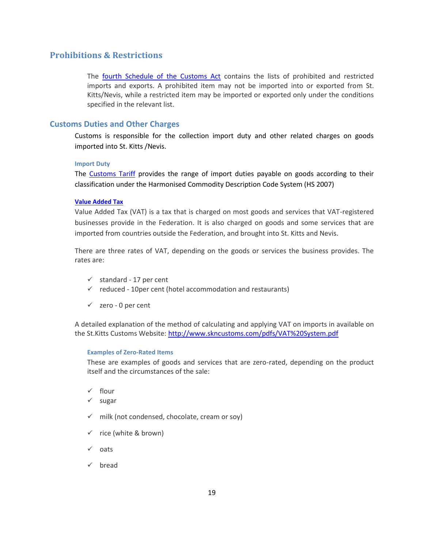# <span id="page-18-0"></span>**Prohibitions & Restrictions**

The [fourth Schedule of the Customs Act](http://www.skncustoms.com/pdfs/The_Customs_Control_and_Management_Amendment_Act_2001_No7.pdf) contains the lists of prohibited and restricted imports and exports. A prohibited item may not be imported into or exported from St. Kitts/Nevis, while a restricted item may be imported or exported only under the conditions specified in the relevant list.

## <span id="page-18-1"></span>**Customs Duties and Other Charges**

Customs is responsible for the collection import duty and other related charges on goods imported into St. Kitts /Nevis.

#### <span id="page-18-2"></span>**Import Duty**

The [Customs Tariff](http://www.skncustoms.com/) provides the range of import duties payable on goods according to their classification under the Harmonised Commodity Description Code System (HS 2007)

## <span id="page-18-3"></span>**Value [Added](http://www.sknvat.com/) Tax**

Value Added Tax (VAT) is a tax that is charged on most goods and services that VAT-registered businesses provide in the Federation. It is also charged on goods and some services that are imported from countries outside the Federation, and brought into St. Kitts and Nevis.

There are three rates of VAT, depending on the goods or services the business provides. The rates are:

- $\checkmark$  standard 17 per cent
- $\checkmark$  reduced 10per cent (hotel accommodation and restaurants)
- $\checkmark$  zero 0 per cent

<span id="page-18-4"></span>A detailed explanation of the method of calculating and applying VAT on imports in available on the St.Kitts Customs Website:<http://www.skncustoms.com/pdfs/VAT%20System.pdf>

#### **Examples of Zero-Rated Items**

These are examples of goods and services that are zero-rated, depending on the product itself and the circumstances of the sale:

- $\checkmark$  flour
- $\checkmark$  sugar
- $\checkmark$  milk (not condensed, chocolate, cream or soy)
- $\checkmark$  rice (white & brown)
- $\checkmark$  oats
- $\checkmark$  bread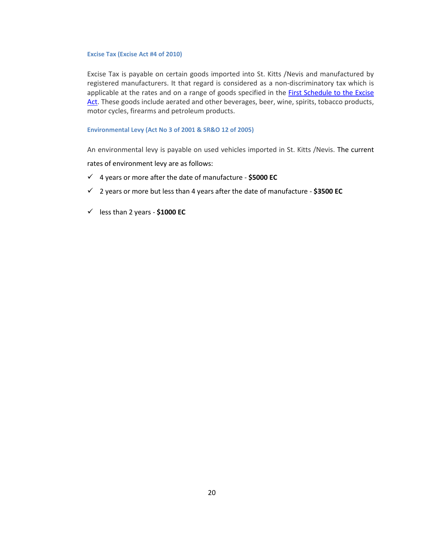#### <span id="page-19-0"></span>**Excise Tax (Excise Act #4 of 2010)**

Excise Tax is payable on certain goods imported into St. Kitts /Nevis and manufactured by registered manufacturers. It that regard is considered as a non-discriminatory tax which is applicable at the rates and on a range of goods specified in the First Schedule to the Excise [Act.](http://skncustoms.com/pdfs/Excise%20Tax%20Act%20No4%20of%202010.pdf) These goods include aerated and other beverages, beer, wine, spirits, tobacco products, motor cycles, firearms and petroleum products.

#### <span id="page-19-1"></span>**Environmental Levy (Act No 3 of 2001 & SR&O 12 of 2005)**

An environmental levy is payable on used vehicles imported in St. Kitts /Nevis. The current

rates of environment levy are as follows:

- 4 years or more after the date of manufacture **\$5000 EC**
- 2 years or more but less than 4 years after the date of manufacture **\$3500 EC**
- less than 2 years **\$1000 EC**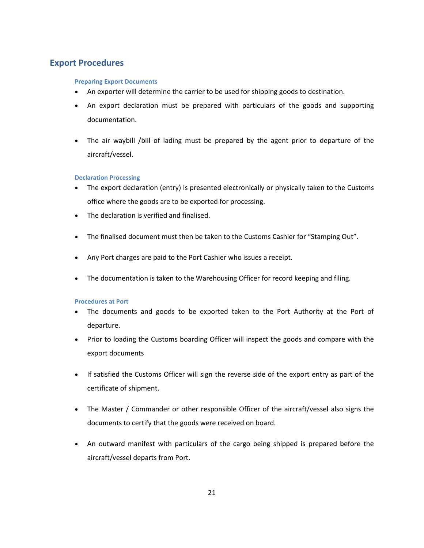# <span id="page-20-1"></span><span id="page-20-0"></span>**Export Procedures**

## **Preparing Export Documents**

- An exporter will determine the carrier to be used for shipping goods to destination.
- An export declaration must be prepared with particulars of the goods and supporting documentation.
- The air waybill /bill of lading must be prepared by the agent prior to departure of the aircraft/vessel.

#### <span id="page-20-2"></span>**Declaration Processing**

- The export declaration (entry) is presented electronically or physically taken to the Customs office where the goods are to be exported for processing.
- The declaration is verified and finalised.
- The finalised document must then be taken to the Customs Cashier for "Stamping Out".
- Any Port charges are paid to the Port Cashier who issues a receipt.
- The documentation is taken to the Warehousing Officer for record keeping and filing.

#### <span id="page-20-3"></span>**Procedures at Port**

- The documents and goods to be exported taken to the Port Authority at the Port of departure.
- Prior to loading the Customs boarding Officer will inspect the goods and compare with the export documents
- If satisfied the Customs Officer will sign the reverse side of the export entry as part of the certificate of shipment.
- The Master / Commander or other responsible Officer of the aircraft/vessel also signs the documents to certify that the goods were received on board.
- An outward manifest with particulars of the cargo being shipped is prepared before the aircraft/vessel departs from Port.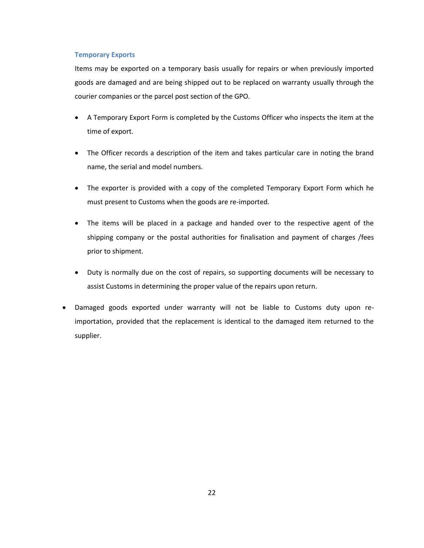#### <span id="page-21-0"></span>**Temporary Exports**

Items may be exported on a temporary basis usually for repairs or when previously imported goods are damaged and are being shipped out to be replaced on warranty usually through the courier companies or the parcel post section of the GPO.

- A Temporary Export Form is completed by the Customs Officer who inspects the item at the time of export.
- The Officer records a description of the item and takes particular care in noting the brand name, the serial and model numbers.
- The exporter is provided with a copy of the completed Temporary Export Form which he must present to Customs when the goods are re-imported.
- The items will be placed in a package and handed over to the respective agent of the shipping company or the postal authorities for finalisation and payment of charges /fees prior to shipment.
- Duty is normally due on the cost of repairs, so supporting documents will be necessary to assist Customs in determining the proper value of the repairs upon return.
- <span id="page-21-1"></span> Damaged goods exported under warranty will not be liable to Customs duty upon reimportation, provided that the replacement is identical to the damaged item returned to the supplier.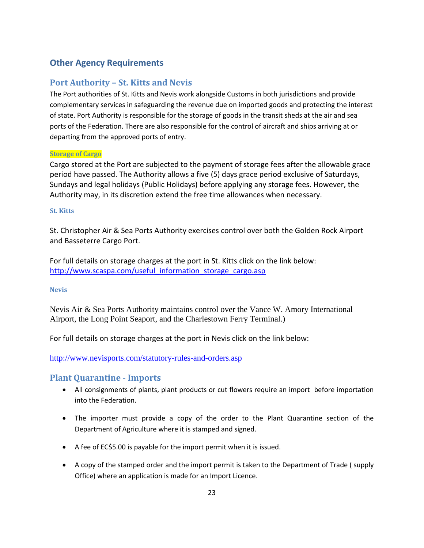# <span id="page-22-0"></span>**Other Agency Requirements**

# <span id="page-22-1"></span>**Port Authority – St. Kitts and Nevis**

The Port authorities of St. Kitts and Nevis work alongside Customs in both jurisdictions and provide complementary services in safeguarding the revenue due on imported goods and protecting the interest of state. Port Authority is responsible for the storage of goods in the transit sheds at the air and sea ports of the Federation. There are also responsible for the control of aircraft and ships arriving at or departing from the approved ports of entry.

## <span id="page-22-2"></span>**Storage of Cargo**

Cargo stored at the Port are subjected to the payment of storage fees after the allowable grace period have passed. The Authority allows a five (5) days grace period exclusive of Saturdays, Sundays and legal holidays (Public Holidays) before applying any storage fees. However, the Authority may, in its discretion extend the free time allowances when necessary.

## <span id="page-22-3"></span>**St. Kitts**

St. Christopher Air & Sea Ports Authority exercises control over both the Golden Rock Airport and Basseterre Cargo Port.

For full details on storage charges at the port in St. Kitts click on the link below: [http://www.scaspa.com/useful\\_information\\_storage\\_cargo.asp](http://www.scaspa.com/useful_information_storage_cargo.asp)

## <span id="page-22-4"></span>**Nevis**

Nevis Air & Sea Ports Authority maintains control over the Vance W. Amory International Airport, the Long Point Seaport, and the Charlestown Ferry Terminal.)

For full details on storage charges at the port in Nevis click on the link below:

<http://www.nevisports.com/statutory-rules-and-orders.asp>

# <span id="page-22-5"></span>**Plant Quarantine - Imports**

- All consignments of plants, plant products or cut flowers require an import before importation into the Federation.
- The importer must provide a copy of the order to the Plant Quarantine section of the Department of Agriculture where it is stamped and signed.
- A fee of EC\$5.00 is payable for the import permit when it is issued.
- A copy of the stamped order and the import permit is taken to the Department of Trade ( supply Office) where an application is made for an Import Licence.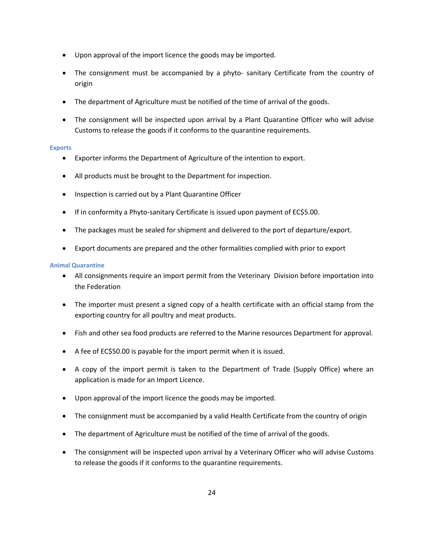- Upon approval of the import licence the goods may be imported.
- The consignment must be accompanied by a phyto- sanitary Certificate from the country of origin
- The department of Agriculture must be notified of the time of arrival of the goods.
- The consignment will be inspected upon arrival by a Plant Quarantine Officer who will advise Customs to release the goods if it conforms to the quarantine requirements.

## <span id="page-23-0"></span>**Exports**

- Exporter informs the Department of Agriculture of the intention to export.
- All products must be brought to the Department for inspection.
- Inspection is carried out by a Plant Quarantine Officer
- If in conformity a Phyto-sanitary Certificate is issued upon payment of EC\$5.00.
- The packages must be sealed for shipment and delivered to the port of departure/export.
- Export documents are prepared and the other formalities complied with prior to export

## <span id="page-23-1"></span>**Animal Quarantine**

- All consignments require an import permit from the Veterinary Division before importation into the Federation
- The importer must present a signed copy of a health certificate with an official stamp from the exporting country for all poultry and meat products.
- Fish and other sea food products are referred to the Marine resources Department for approval.
- A fee of EC\$50.00 is payable for the import permit when it is issued.
- A copy of the import permit is taken to the Department of Trade (Supply Office) where an application is made for an Import Licence.
- Upon approval of the import licence the goods may be imported.
- The consignment must be accompanied by a valid Health Certificate from the country of origin
- The department of Agriculture must be notified of the time of arrival of the goods.
- The consignment will be inspected upon arrival by a Veterinary Officer who will advise Customs to release the goods if it conforms to the quarantine requirements.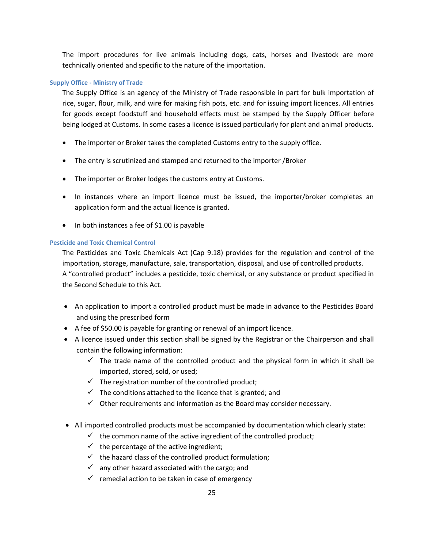The import procedures for live animals including dogs, cats, horses and livestock are more technically oriented and specific to the nature of the importation.

## <span id="page-24-0"></span>**Supply Office - Ministry of Trade**

The Supply Office is an agency of the Ministry of Trade responsible in part for bulk importation of rice, sugar, flour, milk, and wire for making fish pots, etc. and for issuing import licences. All entries for goods except foodstuff and household effects must be stamped by the Supply Officer before being lodged at Customs. In some cases a licence is issued particularly for plant and animal products.

- The importer or Broker takes the completed Customs entry to the supply office.
- The entry is scrutinized and stamped and returned to the importer /Broker
- The importer or Broker lodges the customs entry at Customs.
- In instances where an import licence must be issued, the importer/broker completes an application form and the actual licence is granted.
- In both instances a fee of \$1.00 is payable

## <span id="page-24-1"></span>**Pesticide and Toxic Chemical Control**

The Pesticides and Toxic Chemicals Act (Cap 9.18) provides for the regulation and control of the importation, storage, manufacture, sale, transportation, disposal, and use of controlled products. A "controlled product" includes a pesticide, toxic chemical, or any substance or product specified in the Second Schedule to this Act.

- An application to import a controlled product must be made in advance to the Pesticides Board and using the prescribed form
- A fee of \$50.00 is payable for granting or renewal of an import licence.
- A licence issued under this section shall be signed by the Registrar or the Chairperson and shall contain the following information:
	- $\checkmark$  The trade name of the controlled product and the physical form in which it shall be imported, stored, sold, or used;
	- $\checkmark$  The registration number of the controlled product;
	- $\checkmark$  The conditions attached to the licence that is granted; and
	- $\checkmark$  Other requirements and information as the Board may consider necessary.
- All imported controlled products must be accompanied by documentation which clearly state:
	- $\checkmark$  the common name of the active ingredient of the controlled product;
	- $\checkmark$  the percentage of the active ingredient;
	- $\checkmark$  the hazard class of the controlled product formulation;
	- $\checkmark$  any other hazard associated with the cargo; and
	- $\checkmark$  remedial action to be taken in case of emergency